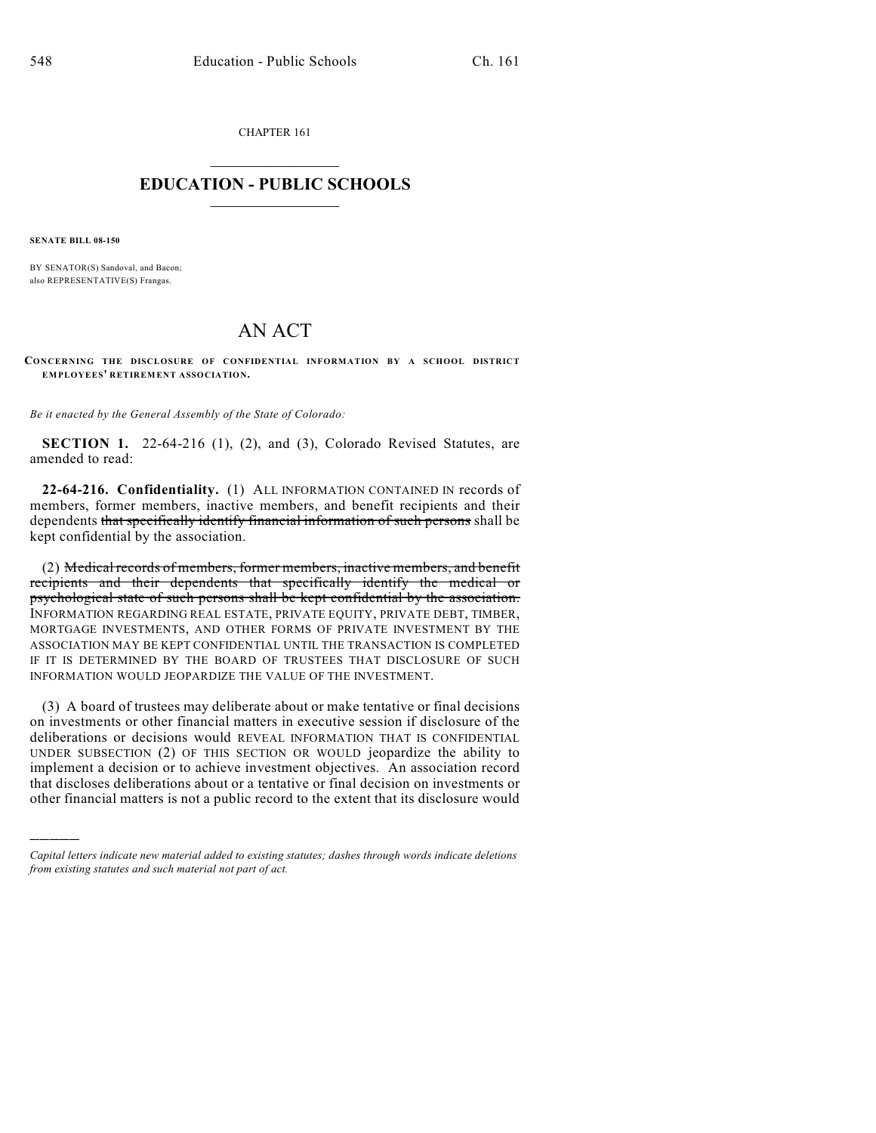CHAPTER 161

## $\mathcal{L}_\text{max}$  . The set of the set of the set of the set of the set of the set of the set of the set of the set of the set of the set of the set of the set of the set of the set of the set of the set of the set of the set **EDUCATION - PUBLIC SCHOOLS**  $\_$   $\_$   $\_$   $\_$   $\_$   $\_$   $\_$   $\_$   $\_$

**SENATE BILL 08-150**

)))))

BY SENATOR(S) Sandoval, and Bacon; also REPRESENTATIVE(S) Frangas.

## AN ACT

**CONCERNING THE DISCLOSURE OF CONFIDENTIAL INFORMATION BY A SCHOOL DISTRICT EMPLOYEES' RETIREMENT ASSOCIATION.**

*Be it enacted by the General Assembly of the State of Colorado:*

**SECTION 1.** 22-64-216 (1), (2), and (3), Colorado Revised Statutes, are amended to read:

**22-64-216. Confidentiality.** (1) ALL INFORMATION CONTAINED IN records of members, former members, inactive members, and benefit recipients and their dependents that specifically identify financial information of such persons shall be kept confidential by the association.

(2) Medical records of members, former members, inactive members, and benefit recipients and their dependents that specifically identify the medical or psychological state of such persons shall be kept confidential by the association. INFORMATION REGARDING REAL ESTATE, PRIVATE EQUITY, PRIVATE DEBT, TIMBER, MORTGAGE INVESTMENTS, AND OTHER FORMS OF PRIVATE INVESTMENT BY THE ASSOCIATION MAY BE KEPT CONFIDENTIAL UNTIL THE TRANSACTION IS COMPLETED IF IT IS DETERMINED BY THE BOARD OF TRUSTEES THAT DISCLOSURE OF SUCH INFORMATION WOULD JEOPARDIZE THE VALUE OF THE INVESTMENT.

(3) A board of trustees may deliberate about or make tentative or final decisions on investments or other financial matters in executive session if disclosure of the deliberations or decisions would REVEAL INFORMATION THAT IS CONFIDENTIAL UNDER SUBSECTION (2) OF THIS SECTION OR WOULD jeopardize the ability to implement a decision or to achieve investment objectives. An association record that discloses deliberations about or a tentative or final decision on investments or other financial matters is not a public record to the extent that its disclosure would

*Capital letters indicate new material added to existing statutes; dashes through words indicate deletions from existing statutes and such material not part of act.*